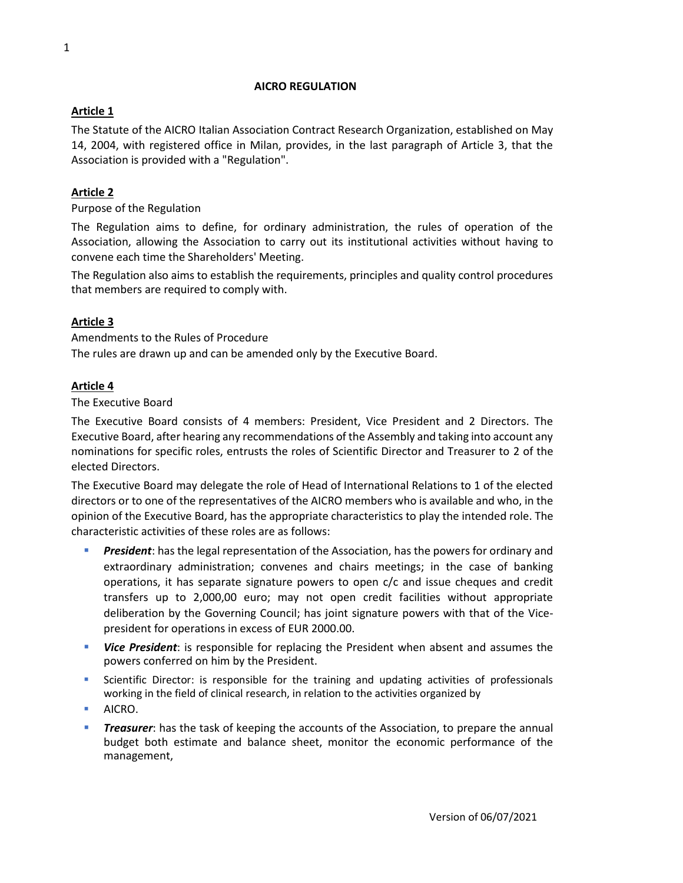#### **AICRO REGULATION**

#### **Article 1**

The Statute of the AICRO Italian Association Contract Research Organization, established on May 14, 2004, with registered office in Milan, provides, in the last paragraph of Article 3, that the Association is provided with a "Regulation".

### **Article 2**

Purpose of the Regulation

The Regulation aims to define, for ordinary administration, the rules of operation of the Association, allowing the Association to carry out its institutional activities without having to convene each time the Shareholders' Meeting.

The Regulation also aims to establish the requirements, principles and quality control procedures that members are required to comply with.

## **Article 3**

Amendments to the Rules of Procedure The rules are drawn up and can be amended only by the Executive Board.

#### **Article 4**

The Executive Board

The Executive Board consists of 4 members: President, Vice President and 2 Directors. The Executive Board, after hearing any recommendations of the Assembly and taking into account any nominations for specific roles, entrusts the roles of Scientific Director and Treasurer to 2 of the elected Directors.

The Executive Board may delegate the role of Head of International Relations to 1 of the elected directors or to one of the representatives of the AICRO members who is available and who, in the opinion of the Executive Board, has the appropriate characteristics to play the intended role. The characteristic activities of these roles are as follows:

- **President:** has the legal representation of the Association, has the powers for ordinary and extraordinary administration; convenes and chairs meetings; in the case of banking operations, it has separate signature powers to open c/c and issue cheques and credit transfers up to 2,000,00 euro; may not open credit facilities without appropriate deliberation by the Governing Council; has joint signature powers with that of the Vicepresident for operations in excess of EUR 2000.00.
- **EXT Vice President**: is responsible for replacing the President when absent and assumes the powers conferred on him by the President.
- **•** Scientific Director: is responsible for the training and updating activities of professionals working in the field of clinical research, in relation to the activities organized by
- AICRO.
- **Treasurer:** has the task of keeping the accounts of the Association, to prepare the annual budget both estimate and balance sheet, monitor the economic performance of the management,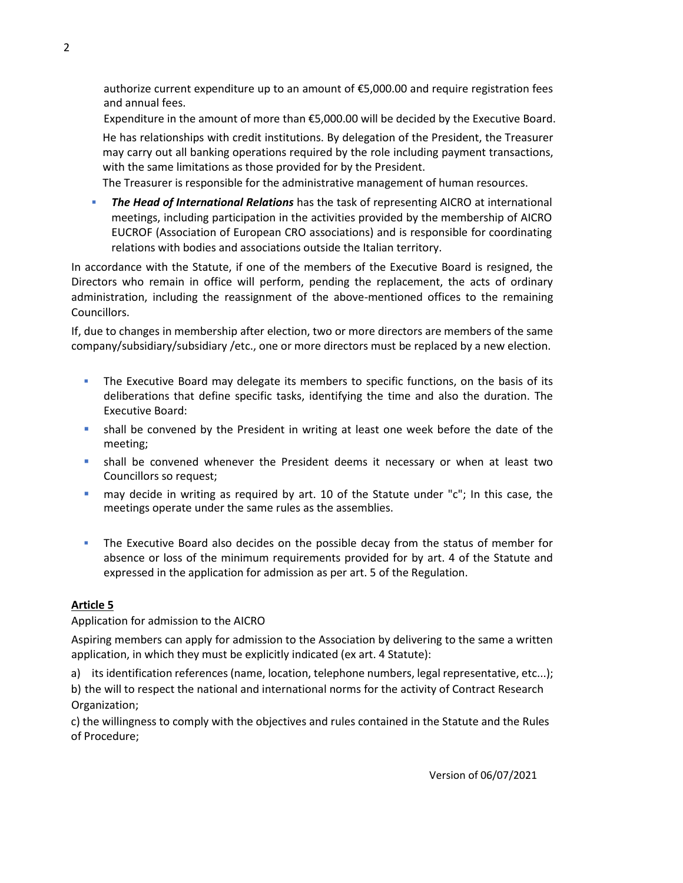authorize current expenditure up to an amount of €5,000.00 and require registration fees and annual fees.

Expenditure in the amount of more than €5,000.00 will be decided by the Executive Board.

He has relationships with credit institutions. By delegation of the President, the Treasurer may carry out all banking operations required by the role including payment transactions, with the same limitations as those provided for by the President.

The Treasurer is responsible for the administrative management of human resources.

**The Head of International Relations** has the task of representing AICRO at international meetings, including participation in the activities provided by the membership of AICRO EUCROF (Association of European CRO associations) and is responsible for coordinating relations with bodies and associations outside the Italian territory.

In accordance with the Statute, if one of the members of the Executive Board is resigned, the Directors who remain in office will perform, pending the replacement, the acts of ordinary administration, including the reassignment of the above-mentioned offices to the remaining Councillors.

If, due to changes in membership after election, two or more directors are members of the same company/subsidiary/subsidiary /etc., one or more directors must be replaced by a new election.

- **•** The Executive Board may delegate its members to specific functions, on the basis of its deliberations that define specific tasks, identifying the time and also the duration. The Executive Board:
- **•** shall be convened by the President in writing at least one week before the date of the meeting;
- **EXECO Shall be convened whenever the President deems it necessary or when at least two** Councillors so request;
- may decide in writing as required by art. 10 of the Statute under "c"; In this case, the meetings operate under the same rules as the assemblies.
- **.** The Executive Board also decides on the possible decay from the status of member for absence or loss of the minimum requirements provided for by art. 4 of the Statute and expressed in the application for admission as per art. 5 of the Regulation.

#### **Article 5**

Application for admission to the AICRO

Aspiring members can apply for admission to the Association by delivering to the same a written application, in which they must be explicitly indicated (ex art. 4 Statute):

a) its identification references (name, location, telephone numbers, legal representative, etc...);

b) the will to respect the national and international norms for the activity of Contract Research Organization;

c) the willingness to comply with the objectives and rules contained in the Statute and the Rules of Procedure;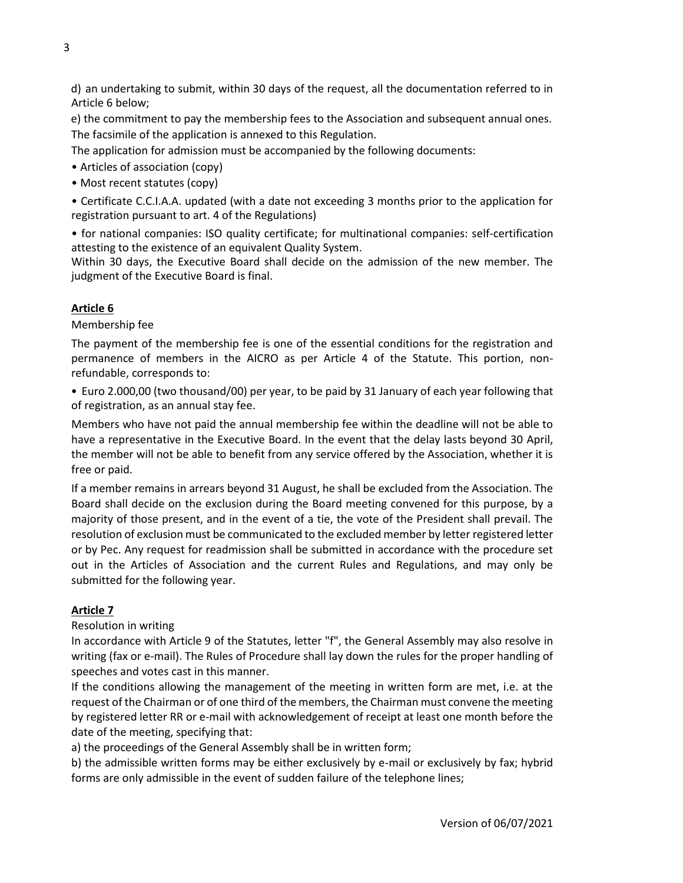d) an undertaking to submit, within 30 days of the request, all the documentation referred to in Article 6 below;

e) the commitment to pay the membership fees to the Association and subsequent annual ones. The facsimile of the application is annexed to this Regulation.

The application for admission must be accompanied by the following documents:

- Articles of association (copy)
- Most recent statutes (copy)
- Certificate C.C.I.A.A. updated (with a date not exceeding 3 months prior to the application for registration pursuant to art. 4 of the Regulations)

• for national companies: ISO quality certificate; for multinational companies: self-certification attesting to the existence of an equivalent Quality System.

Within 30 days, the Executive Board shall decide on the admission of the new member. The judgment of the Executive Board is final.

#### **Article 6**

Membership fee

The payment of the membership fee is one of the essential conditions for the registration and permanence of members in the AICRO as per Article 4 of the Statute. This portion, nonrefundable, corresponds to:

• Euro 2.000,00 (two thousand/00) per year, to be paid by 31 January of each year following that of registration, as an annual stay fee.

Members who have not paid the annual membership fee within the deadline will not be able to have a representative in the Executive Board. In the event that the delay lasts beyond 30 April, the member will not be able to benefit from any service offered by the Association, whether it is free or paid.

If a member remains in arrears beyond 31 August, he shall be excluded from the Association. The Board shall decide on the exclusion during the Board meeting convened for this purpose, by a majority of those present, and in the event of a tie, the vote of the President shall prevail. The resolution of exclusion must be communicated to the excluded member by letter registered letter or by Pec. Any request for readmission shall be submitted in accordance with the procedure set out in the Articles of Association and the current Rules and Regulations, and may only be submitted for the following year.

#### **Article 7**

Resolution in writing

In accordance with Article 9 of the Statutes, letter "f", the General Assembly may also resolve in writing (fax or e-mail). The Rules of Procedure shall lay down the rules for the proper handling of speeches and votes cast in this manner.

If the conditions allowing the management of the meeting in written form are met, i.e. at the request of the Chairman or of one third of the members, the Chairman must convene the meeting by registered letter RR or e-mail with acknowledgement of receipt at least one month before the date of the meeting, specifying that:

a) the proceedings of the General Assembly shall be in written form;

b) the admissible written forms may be either exclusively by e-mail or exclusively by fax; hybrid forms are only admissible in the event of sudden failure of the telephone lines;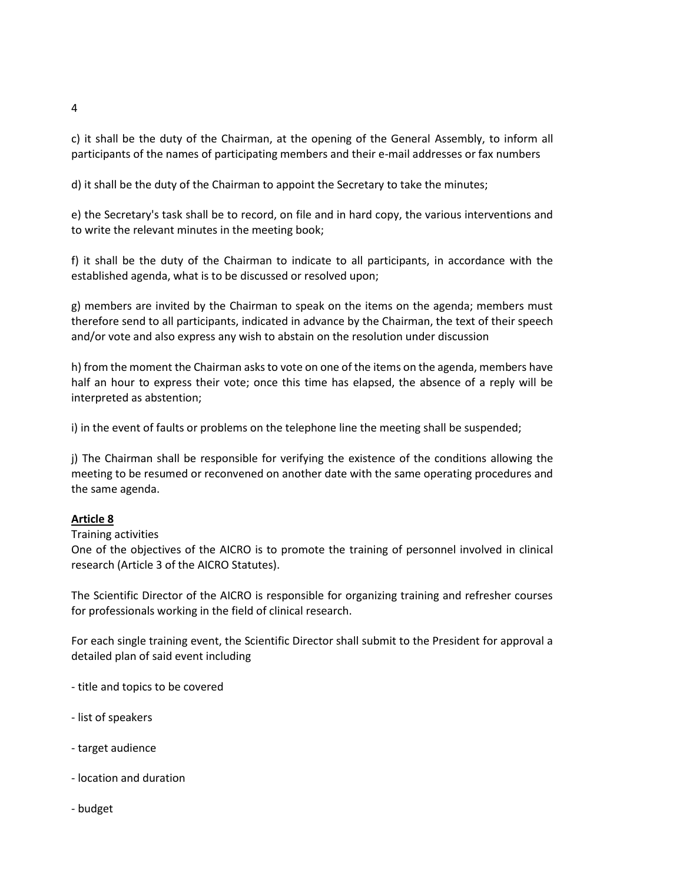c) it shall be the duty of the Chairman, at the opening of the General Assembly, to inform all participants of the names of participating members and their e-mail addresses or fax numbers

d) it shall be the duty of the Chairman to appoint the Secretary to take the minutes;

e) the Secretary's task shall be to record, on file and in hard copy, the various interventions and to write the relevant minutes in the meeting book;

f) it shall be the duty of the Chairman to indicate to all participants, in accordance with the established agenda, what is to be discussed or resolved upon;

g) members are invited by the Chairman to speak on the items on the agenda; members must therefore send to all participants, indicated in advance by the Chairman, the text of their speech and/or vote and also express any wish to abstain on the resolution under discussion

h) from the moment the Chairman asks to vote on one of the items on the agenda, members have half an hour to express their vote; once this time has elapsed, the absence of a reply will be interpreted as abstention;

i) in the event of faults or problems on the telephone line the meeting shall be suspended;

j) The Chairman shall be responsible for verifying the existence of the conditions allowing the meeting to be resumed or reconvened on another date with the same operating procedures and the same agenda.

# **Article 8**

Training activities

One of the objectives of the AICRO is to promote the training of personnel involved in clinical research (Article 3 of the AICRO Statutes).

The Scientific Director of the AICRO is responsible for organizing training and refresher courses for professionals working in the field of clinical research.

For each single training event, the Scientific Director shall submit to the President for approval a detailed plan of said event including

- title and topics to be covered
- list of speakers
- target audience
- location and duration
- budget

4